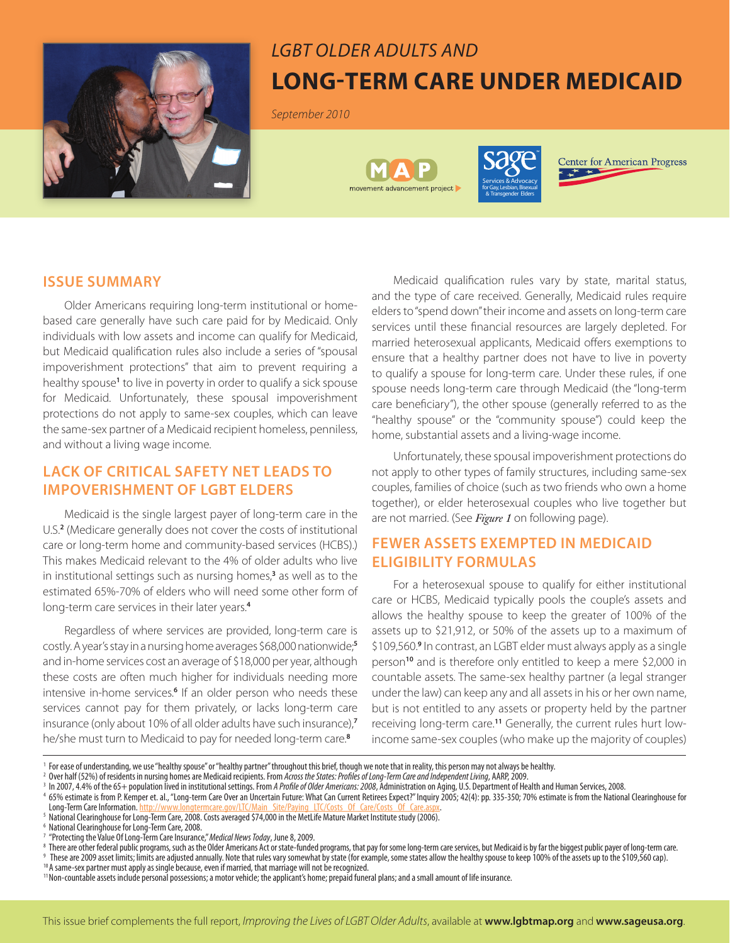

# *LGBT Older Adults and* **Long-Term Care Under Medicaid**

*September 2010*





**Center for American Progress** 

### **ISSUE SUMMARY**

Older Americans requiring long-term institutional or homebased care generally have such care paid for by Medicaid. Only individuals with low assets and income can qualify for Medicaid, but Medicaid qualification rules also include a series of "spousal impoverishment protections" that aim to prevent requiring a healthy spouse**<sup>1</sup>** to live in poverty in order to qualify a sick spouse for Medicaid. Unfortunately, these spousal impoverishment protections do not apply to same-sex couples, which can leave the same-sex partner of a Medicaid recipient homeless, penniless, and without a living wage income.

# **LACK OF CRITICAL SAFETY NET LEADS TO IMPOVERISHMENT OF LGBT ELDERS**

Medicaid is the single largest payer of long-term care in the U.S.**<sup>2</sup>** (Medicare generally does not cover the costs of institutional care or long-term home and community-based services (HCBS).) This makes Medicaid relevant to the 4% of older adults who live in institutional settings such as nursing homes,**<sup>3</sup>** as well as to the estimated 65%-70% of elders who will need some other form of long-term care services in their later years.**<sup>4</sup>**

Regardless of where services are provided, long-term care is costly. A year's stay in a nursing home averages \$68,000 nationwide;**<sup>5</sup>** and in-home services cost an average of \$18,000 per year, although these costs are often much higher for individuals needing more intensive in-home services.**<sup>6</sup>** If an older person who needs these services cannot pay for them privately, or lacks long-term care insurance (only about 10% of all older adults have such insurance),**<sup>7</sup>** he/she must turn to Medicaid to pay for needed long-term care.**<sup>8</sup>**

Medicaid qualification rules vary by state, marital status, and the type of care received. Generally, Medicaid rules require elders to "spend down" their income and assets on long-term care services until these financial resources are largely depleted. For married heterosexual applicants, Medicaid offers exemptions to ensure that a healthy partner does not have to live in poverty to qualify a spouse for long-term care. Under these rules, if one spouse needs long-term care through Medicaid (the "long-term care beneficiary"), the other spouse (generally referred to as the "healthy spouse" or the "community spouse") could keep the home, substantial assets and a living-wage income.

Unfortunately, these spousal impoverishment protections do not apply to other types of family structures, including same-sex couples, families of choice (such as two friends who own a home together), or elder heterosexual couples who live together but are not married. (See *Figure 1* on following page).

# **FEWER ASSETS EXEMPTED IN MEDICAID ELIGIBILITY FORMULAS**

For a heterosexual spouse to qualify for either institutional care or HCBS, Medicaid typically pools the couple's assets and allows the healthy spouse to keep the greater of 100% of the assets up to \$21,912, or 50% of the assets up to a maximum of \$109,560.<sup>9</sup> In contrast, an LGBT elder must always apply as a single person**<sup>10</sup>** and is therefore only entitled to keep a mere \$2,000 in countable assets. The same-sex healthy partner (a legal stranger under the law) can keep any and all assets in his or her own name, but is not entitled to any assets or property held by the partner receiving long-term care.**11** Generally, the current rules hurt lowincome same-sex couples (who make up the majority of couples)

<sup>5</sup> National Clearinghouse for Long-Term Care, 2008. Costs averaged \$74,000 in the MetLife Mature Market Institute study (2006).

<sup>6</sup> National Clearinghouse for Long-Term Care, 2008.<br><sup>7</sup> "Protecting the Value Of Long-Term Care Insurance," Medical News Today, June 8, 2009.

<sup>8</sup> There are other federal public programs, such as the Older Americans Act or state-funded programs, that pay for some long-term care services, but Medicaid is by far the biggest public payer of long-term care.

9 These are 2009 asset limits; limits are adjusted annually. Note that rules vary somewhat by state (for example, some states allow the healthy spouse to keep 100% of the assets up to the \$109,560 cap).

11Non-countable assets include personal possessions; a motor vehicle; the applicant's home; prepaid funeral plans; and a small amount of life insurance.

<sup>&</sup>lt;sup>1</sup> For ease of understanding, we use "healthy spouse" or "healthy partner" throughout this brief, though we note that in reality, this person may not always be healthy.<br><sup>2</sup> Over half (52%) of residents in nursing homes ar

<sup>&</sup>lt;sup>3</sup> In 2007, 4.4% of the 65+ population lived in institutional settings. From *A Profile of Older Americans: 2008*, Administration on Aging, U.S. Department of Health and Human Services, 2008.<br><sup>4</sup> 65% estimate is from P. K

<sup>&</sup>lt;sup>10</sup> A same-sex partner must apply as single because, even if married, that marriage will not be recognized.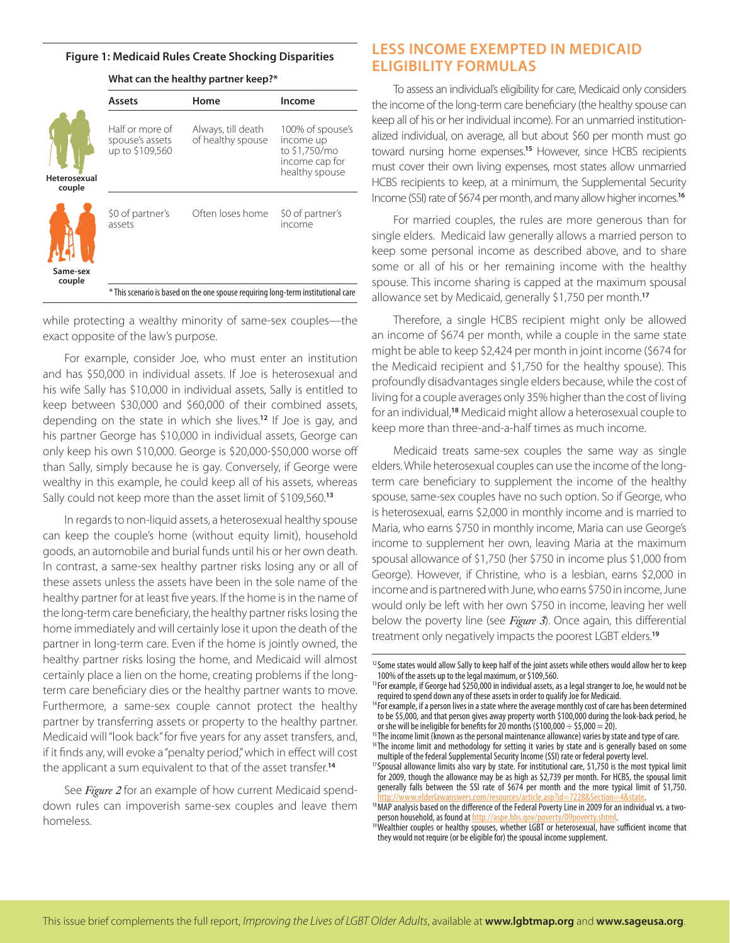#### **Figure 1: Medicaid Rules Create Shocking Disparities**

| <b>Assets</b>                                                                | Home                                    | Income                                                                             |
|------------------------------------------------------------------------------|-----------------------------------------|------------------------------------------------------------------------------------|
| Half or more of<br>spouse's assets<br>up to \$109,560<br><b>Heterosexual</b> | Always, till death<br>of healthy spouse | 100% of spouse's<br>income up<br>to \$1,750/mo<br>income cap for<br>healthy spouse |
| \$0 of partner's<br>assets                                                   | Often loses home                        | \$0 of partner's<br>income                                                         |
| Same-sex                                                                     |                                         |                                                                                    |

#### **What can the healthy partner keep?\***

while protecting a wealthy minority of same-sex couples—the exact opposite of the law's purpose.

For example, consider Joe, who must enter an institution and has \$50,000 in individual assets. If Joe is heterosexual and his wife Sally has \$10,000 in individual assets, Sally is entitled to keep between \$30,000 and \$60,000 of their combined assets, depending on the state in which she lives.**<sup>12</sup>** If Joe is gay, and his partner George has \$10,000 in individual assets, George can only keep his own \$10,000. George is \$20,000-\$50,000 worse off than Sally, simply because he is gay. Conversely, if George were wealthy in this example, he could keep all of his assets, whereas Sally could not keep more than the asset limit of \$109,560.**<sup>13</sup>**

In regards to non-liquid assets, a heterosexual healthy spouse can keep the couple's home (without equity limit), household goods, an automobile and burial funds until his or her own death. In contrast, a same-sex healthy partner risks losing any or all of these assets unless the assets have been in the sole name of the healthy partner for at least five years. If the home is in the name of the long-term care beneficiary, the healthy partner risks losing the home immediately and will certainly lose it upon the death of the partner in long-term care. Even if the home is jointly owned, the healthy partner risks losing the home, and Medicaid will almost certainly place a lien on the home, creating problems if the longterm care beneficiary dies or the healthy partner wants to move. Furthermore, a same-sex couple cannot protect the healthy partner by transferring assets or property to the healthy partner. Medicaid will "look back" for five years for any asset transfers, and, if it finds any, will evoke a "penalty period," which in effect will cost the applicant a sum equivalent to that of the asset transfer.**<sup>14</sup>**

See *Figure 2* for an example of how current Medicaid spenddown rules can impoverish same-sex couples and leave them homeless.

## **LESS INCOME EXEMPTED IN MEDICAID ELIGIBILITY FORMULAS**

To assess an individual's eligibility for care, Medicaid only considers the income of the long-term care beneficiary (the healthy spouse can keep all of his or her individual income). For an unmarried institutionalized individual, on average, all but about \$60 per month must go toward nursing home expenses.**<sup>15</sup>** However, since HCBS recipients must cover their own living expenses, most states allow unmarried HCBS recipients to keep, at a minimum, the Supplemental Security Income (SSI) rate of \$674 per month, and many allow higher incomes.**<sup>16</sup>**

For married couples, the rules are more generous than for single elders. Medicaid law generally allows a married person to keep some personal income as described above, and to share some or all of his or her remaining income with the healthy spouse. This income sharing is capped at the maximum spousal allowance set by Medicaid, generally \$1,750 per month.**<sup>17</sup>**

Therefore, a single HCBS recipient might only be allowed an income of \$674 per month, while a couple in the same state might be able to keep \$2,424 per month in joint income (\$674 for the Medicaid recipient and \$1,750 for the healthy spouse). This profoundly disadvantages single elders because, while the cost of living for a couple averages only 35% higher than the cost of living for an individual,**<sup>18</sup>** Medicaid might allow a heterosexual couple to keep more than three-and-a-half times as much income.

Medicaid treats same-sex couples the same way as single elders. While heterosexual couples can use the income of the longterm care beneficiary to supplement the income of the healthy spouse, same-sex couples have no such option. So if George, who is heterosexual, earns \$2,000 in monthly income and is married to Maria, who earns \$750 in monthly income, Maria can use George's income to supplement her own, leaving Maria at the maximum spousal allowance of \$1,750 (her \$750 in income plus \$1,000 from George). However, if Christine, who is a lesbian, earns \$2,000 in income and is partnered with June, who earns \$750 in income, June would only be left with her own \$750 in income, leaving her well below the poverty line (see *Figure 3*). Once again, this differential treatment only negatively impacts the poorest LGBT elders.**<sup>19</sup>**

<sup>&</sup>lt;sup>12</sup> Some states would allow Sally to keep half of the joint assets while others would allow her to keep 100% of the assets up to the legal maximum, or \$109,560.

<sup>&</sup>lt;sup>13</sup> For example, if George had \$250,000 in individual assets, as a legal stranger to Joe, he would not be required to spend down any of these assets in order to qualify Joe for Medicaid.

<sup>&</sup>lt;sup>14</sup> For example, if a person lives in a state where the average monthly cost of care has been determined to be \$5,000, and that person gives away property worth \$100,000 during the look-back period, he or she will be ineligible for benefits for 20 months (\$100,000  $\div$  \$5,000 = 20).

<sup>&</sup>lt;sup>15</sup>The income limit (Known as the personal maintenance allowance) varies by state and type of care.

<sup>&</sup>lt;sup>16</sup>The income limit and methodology for setting it varies by state and is generally based on some multiple of the federal Supplemental Security Income (SSI) rate or federal poverty level.

<sup>&</sup>lt;sup>17</sup> Spousal allowance limits also vary by state. For institutional care, \$1,750 is the most typical limit for 2009, though the allowance may be as high as \$2,739 per month. For HCBS, the spousal limit generally falls between the SSI rate of \$674 per month and the more typical limit of \$1,750.

<sup>&</sup>lt;sup>18</sup> MAP analysis based on the difference of the Federal Poverty Line in 2009 for an individual vs. a two-<br>person household, as found at http://aspe.hhs.gov/poverty/09poverty.shtml.

<sup>&</sup>lt;sup>19</sup> Wealthier couples or healthy spouses, whether LGBT or heterosexual, have sufficient income that they would not require (or be eligible for) the spousal income supplement.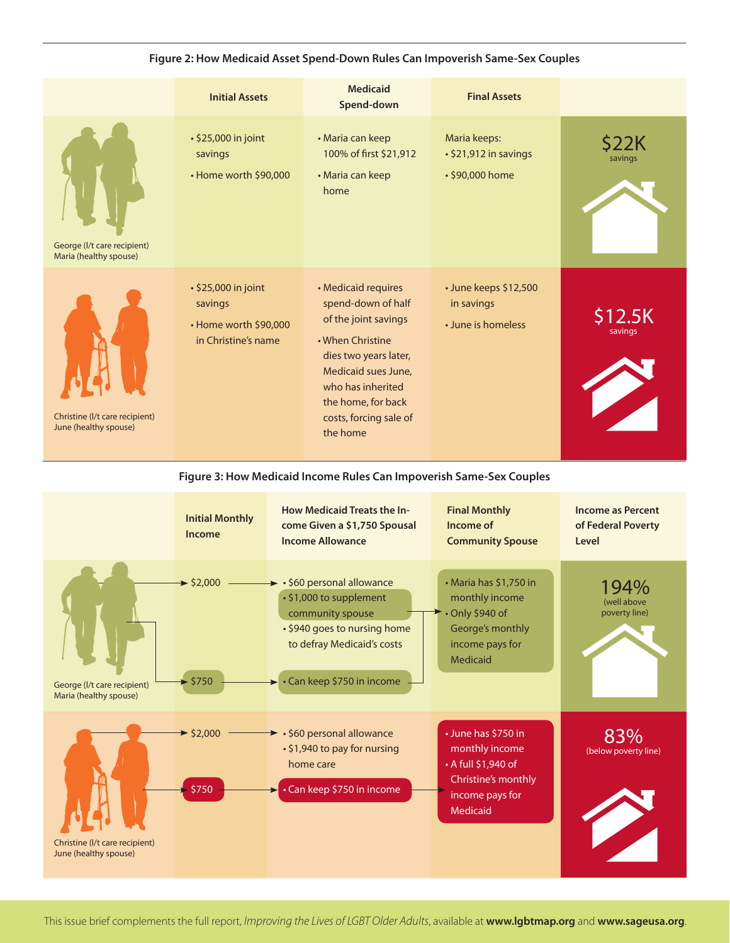|                                                         | <b>Initial Assets</b>                                                          | <b>Medicaid</b><br>Spend-down                                                                                                                                                                                          | <b>Final Assets</b>                                       |                        |
|---------------------------------------------------------|--------------------------------------------------------------------------------|------------------------------------------------------------------------------------------------------------------------------------------------------------------------------------------------------------------------|-----------------------------------------------------------|------------------------|
| George (I/t care recipient)<br>Maria (healthy spouse)   | • \$25,000 in joint<br>savings<br>• Home worth \$90,000                        | • Maria can keep<br>100% of first \$21,912<br>• Maria can keep<br>home                                                                                                                                                 | Maria keeps:<br>· \$21,912 in savings<br>• \$90,000 home  | <b>S22K</b><br>savings |
| Christine (I/t care recipient)<br>June (healthy spouse) | • \$25,000 in joint<br>savings<br>• Home worth \$90,000<br>in Christine's name | • Medicaid requires<br>spend-down of half<br>of the joint savings<br>• When Christine<br>dies two years later,<br>Medicaid sues June,<br>who has inherited<br>the home, for back<br>costs, forcing sale of<br>the home | · June keeps \$12,500<br>in savings<br>• June is homeless | \$12.5K<br>savings     |

#### **Figure 2: How Medicaid Asset Spend-Down Rules Can Impoverish Same-Sex Couples**

**Figure 3: How Medicaid Income Rules Can Impoverish Same-Sex Couples**